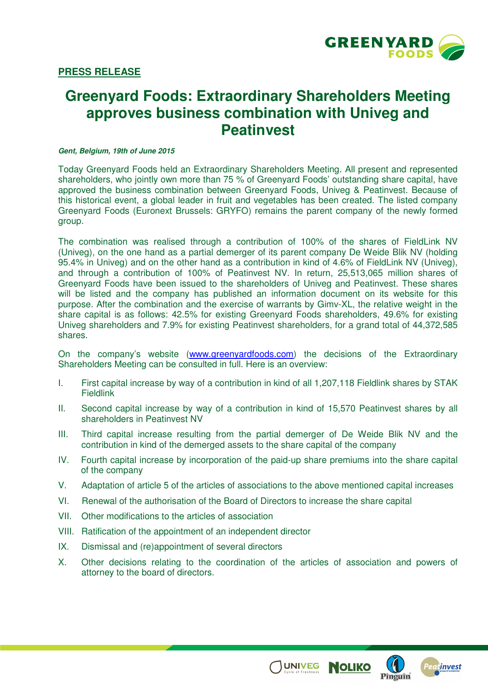

# **Greenyard Foods: Extraordinary Shareholders Meeting approves business combination with Univeg and Peatinvest**

#### **Gent, Belgium, 19th of June 2015**

Today Greenyard Foods held an Extraordinary Shareholders Meeting. All present and represented shareholders, who jointly own more than 75 % of Greenyard Foods' outstanding share capital, have approved the business combination between Greenyard Foods, Univeg & Peatinvest. Because of this historical event, a global leader in fruit and vegetables has been created. The listed company Greenyard Foods (Euronext Brussels: GRYFO) remains the parent company of the newly formed group.

The combination was realised through a contribution of 100% of the shares of FieldLink NV (Univeg), on the one hand as a partial demerger of its parent company De Weide Blik NV (holding 95.4% in Univeg) and on the other hand as a contribution in kind of 4.6% of FieldLink NV (Univeg), and through a contribution of 100% of Peatinvest NV. In return, 25,513,065 million shares of Greenyard Foods have been issued to the shareholders of Univeg and Peatinvest. These shares will be listed and the company has published an information document on its website for this purpose. After the combination and the exercise of warrants by Gimv-XL, the relative weight in the share capital is as follows: 42.5% for existing Greenyard Foods shareholders, 49.6% for existing Univeg shareholders and 7.9% for existing Peatinvest shareholders, for a grand total of 44,372,585 shares.

On the company's website (www.greenyardfoods.com) the decisions of the Extraordinary Shareholders Meeting can be consulted in full. Here is an overview:

- I. First capital increase by way of a contribution in kind of all 1,207,118 Fieldlink shares by STAK **Fieldlink**
- II. Second capital increase by way of a contribution in kind of 15,570 Peatinvest shares by all shareholders in Peatinvest NV
- III. Third capital increase resulting from the partial demerger of De Weide Blik NV and the contribution in kind of the demerged assets to the share capital of the company
- IV. Fourth capital increase by incorporation of the paid-up share premiums into the share capital of the company
- V. Adaptation of article 5 of the articles of associations to the above mentioned capital increases
- VI. Renewal of the authorisation of the Board of Directors to increase the share capital
- VII. Other modifications to the articles of association
- VIII. Ratification of the appointment of an independent director
- IX. Dismissal and (re)appointment of several directors
- X. Other decisions relating to the coordination of the articles of association and powers of attorney to the board of directors.

**UNIVEG** 

**NOLIKO**